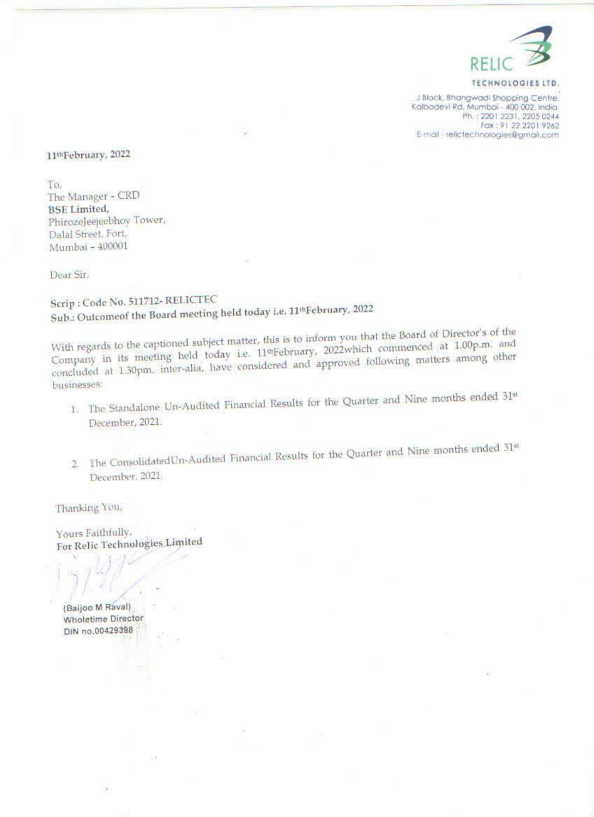

TECHNOLOGIES iTD,

281k hangwod Shopping Centre, 201 and 200 66. ka zt 2201 2231, 2205 66. ka zt 2201 2231, 2205 67.<br>2201 2231, 2205 6244<br>22.2 on 91 22 2201 9262 E-mail - relicted hnologies@gmail.com

February, 2022

To, 'The Manager - CRD BSE Limited, PhirozeJeejeebhoy Tower, Dalal Street, Fort, Mumbai ~ 400001

Dear Sir,

Scrip : Code No. 511712 RELICTEC Sub.: Outcomeof the Board meeting held today i.e. 11<sup>th</sup>February, 2022

With regards to the captioned subject matter, this is to inform you that the Board of Director's of the Company in its meeting held today i.e. 11<sup>th</sup>February, 2022which commenced at 1.00p.m. and concluded at 1.30pm, inter-alia, have considered and approved following matters among other businesses:

- 1, The Standalone Un-Audited Financial Results for the Quarter and Nine months ended 31\* December, 2021.
- 2. The ConsolidatedUn-Audited Financial Results for the Quarter and Nine months ended 31st December, 2021.

Thanking You,

Yours Faithfully, For Relic Technologies Limited

(Baijoo M Raval) Wholetime Director DIN n.0042938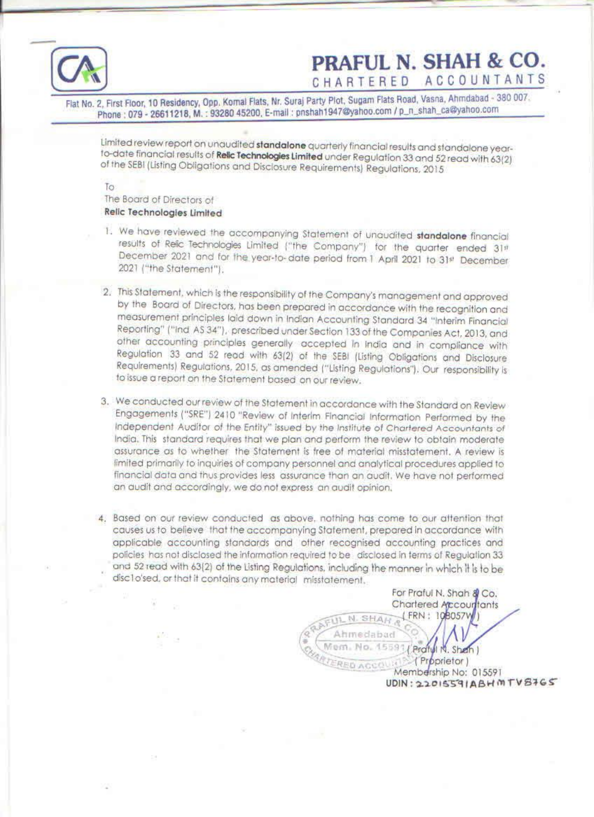

## PRAFUL N. SHAH & CO.

Flat No. 2, First Floor, 10 Residency, Opp. Komal Flats, Nr. Suraj Party Plot, Sugam Flats Road, Vasna, Ahmdabad - 380 007.<br>Phone : 079 - 26611218, M. : 93280 45200, E-mall : pnshah1947@yahoo.com / p\_n\_shah\_ca@yahoo.com

Limited review report on unaudited standalone quarterly financial results and standalone year-<br>to-date financial results of **Relic Technologies Limited** under Regulation 33 and 52 read with 63{2}<br>of the SEBI (Listing Oblig

ــ

To<br>The Board of Directors of<br>**Relic Technologies Limited** 

- 1. We have reviewed the accompanying Statement of unaudited **standalone** financial results of Relic Technologies Limited ("the Company") for the quarter ended 31st December 2021 and for the year-to-date period from 1 April
- 2. This Statement, which is the responsibility of the Company's management and approved<br>by the Board of Directors, has been prepared in accordance with the recognition and<br>measurement principles laid down in Indian Account
- 3. We conducted our review of the Statement in accordance with the Standard on Review Engagements ("SRE") 2410 "Review of Interim Financial Information Performed by the Independent Auditor of the Entity" issued by the Inst
- 4. Based on our review conducted as above, nothing has come to our attention that causes us to believe that the accompanying Statement, prepared in accordance with applicable accounting standards and other recognised accou and 52 read with 63(2) of the Listing Regulations, including the manner in which It is to be

For Praful N. Shah @ Co. Chartered Accourtants<br>N. SHAT (FRN: 198057W) **ERED AGUS (Proprietor)**<br>Membership No: 015591<br>UDIN: 22015591ABH MTVBIGS disclo'sed, or that it contains any material misstatement. Mem. No. 15591 (Praful N. Sheh)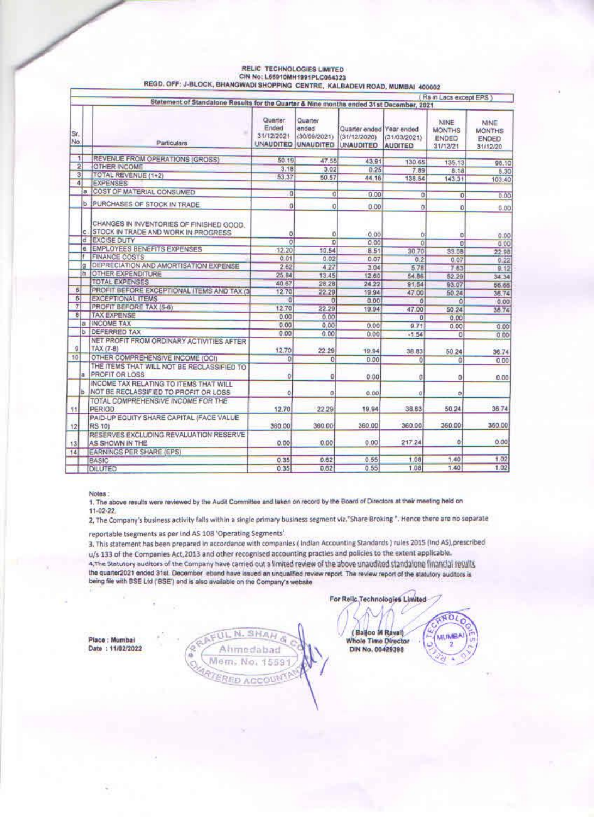|                              |                | Statement of Standalone Results for the Quarter & Nine months ended 31st December, 2021 |                                 |                                                         |                                                              |                         | Rs in Lacs except EPS                             |                                            |
|------------------------------|----------------|-----------------------------------------------------------------------------------------|---------------------------------|---------------------------------------------------------|--------------------------------------------------------------|-------------------------|---------------------------------------------------|--------------------------------------------|
|                              |                |                                                                                         |                                 |                                                         |                                                              |                         |                                                   |                                            |
| Sr.<br>No.                   |                | Particulars                                                                             | Quarter.<br>Ended<br>31/12/2021 | Quarter<br>ended<br>(30/09/2021)<br>UNAUDITED UNAUDITED | Quarter ended Year ended<br>(31/12/2020)<br><b>UNAUDITED</b> | (31/03/2021)<br>AUDITED | NINE<br><b>MONTHS</b><br><b>ENDED</b><br>31/12/21 | NINE<br><b>MONTHS</b><br>ENDED<br>31/12/20 |
|                              | $\mathbf{t}$   | REVENUE FROM OPERATIONS (GROSS)                                                         |                                 |                                                         |                                                              |                         |                                                   |                                            |
|                              | $\overline{2}$ | <b>OTHER INCOME</b>                                                                     | 50.19<br>3.18                   | 47.55                                                   | 43.91                                                        | 130.65                  | 135.13                                            | 98.10                                      |
|                              | $\overline{3}$ | TOTAL REVENUE (1+2)                                                                     | 53.37                           | 3.02                                                    | 0.25                                                         | 7.89                    | 8.18                                              | 5.30                                       |
|                              | 4              | <b>EXPENSES</b>                                                                         |                                 | 50.57                                                   | 44.16                                                        | 138.54                  | 143.31                                            | 103.40                                     |
|                              | a              | COST OF MATERIAL CONSUMED                                                               | $\Omega$                        |                                                         |                                                              |                         |                                                   |                                            |
|                              |                |                                                                                         |                                 | 0                                                       | 0.00                                                         | 0                       | O                                                 | 0.00                                       |
|                              | b              | PURCHASES OF STOCK IN TRADE                                                             | ö                               | $\circ$                                                 | 0.00                                                         | ٥                       | O.                                                | 0.00                                       |
|                              | ċ.             | CHANGES IN INVENTORIES OF FINISHED GOOD.<br><b>STOCK IN TRADE AND WORK IN PROGRESS</b>  | o                               | $\theta$                                                | 0.00                                                         | O.                      | ō                                                 | 0.00                                       |
|                              | đ              | <b>EXCISE DUTY</b>                                                                      | ō                               | $\overline{0}$                                          | 0.00                                                         | ö                       | ö                                                 | 0.00                                       |
|                              | ë.             | <b>EMPLOYEES BENEFITS EXPENSES</b>                                                      | 12.20                           | 10.54                                                   | 8.51                                                         | 30.70                   | 33.08                                             | 22.98                                      |
|                              |                | <b>FINANCE COSTS</b>                                                                    | 0.01                            | 0.02                                                    | 0.07                                                         | 0.2                     | 0.07                                              | 0.22                                       |
|                              | la.            | DEPRECIATION AND AMORTISATION EXPENSE                                                   | 2.62                            | 4.27                                                    | 3.04                                                         | 5.78                    | 7.63                                              | 9.12                                       |
|                              | h.             | <b>OTHER EXPENDITURE</b>                                                                | 25.B4                           | 13.45                                                   | 12.60                                                        | 54.86                   | 52.29                                             | 34.34                                      |
|                              |                | <b>TOTAL EXPENSES</b>                                                                   | 40.67                           | 28 28                                                   | 24.22                                                        | 91.54                   | 93.07                                             | 56.68                                      |
| $\overline{5}$               |                | PROFIT BEFORE EXCEPTIONAL ITEMS AND TAX (3)                                             | 12.70                           | 22.29                                                   | 19.94                                                        | 47.00                   | 50.24                                             | 36.74                                      |
| 6                            |                | <b>EXCEPTIONAL ITEMS</b>                                                                | $\alpha$                        | $\Omega$                                                | 0.00                                                         | $\theta$                | $\Omega$                                          | 0.00                                       |
| $\tau$                       |                | PROFIT BEFORE TAX (5-6)                                                                 | 12.70                           | 22.29                                                   | 19:94                                                        | 47.00                   | 50.24                                             | 36.74                                      |
| $\vert$ <sub>8</sub> $\vert$ |                | <b>TAX EXPENSE</b>                                                                      | 0.00                            | 0.00                                                    |                                                              | $\overline{0}$          | 0.00                                              |                                            |
|                              | a              | <b>INCOME TAX</b>                                                                       | 0.00                            | 0.00                                                    | 0.00                                                         | 9.71                    | 0.00                                              | 0.00                                       |
|                              | ъ              | <b>DEFERRED TAX</b>                                                                     | 0.00                            | 0.00                                                    | 0.00                                                         | $-1.54$                 | D.                                                | 0.00                                       |
|                              |                | NET PROFIT FROM ORDINARY ACTIVITIES AFTER                                               |                                 |                                                         |                                                              |                         |                                                   |                                            |
| $\theta$                     |                | TAX (7-8)                                                                               | 12.70                           | 22 29                                                   | 19.94                                                        | 38.83                   | 50.24                                             | 36.74                                      |
| 10                           |                | OTHER COMPREHENSIVE INCOME (OCI)                                                        | o                               | $\Omega$                                                | 0.00                                                         | $\overline{0}$          | o                                                 | 0.00                                       |
|                              | a              | THE ITEMS THAT WILL NOT BE RECLASSIFIED TO<br><b>PROFIT OR LOSS</b>                     | 0                               | ō                                                       | 0.00                                                         | o                       | 0                                                 | 0.00                                       |
|                              |                | INCOME TAX RELATING TO ITEMS THAT WILL<br>NOT BE RECLASSIFIED TO PROFIT OR LOSS         | ō                               | Õ.                                                      | 0.00                                                         | ø                       | $\circ$                                           |                                            |
| 11                           |                | TOTAL COMPREHENSIVE INCOME FOR THE<br>PERIOD                                            | 12.70                           | 22.29                                                   | 19.94                                                        | 38.83                   | 50.24                                             | 36.74                                      |
| 12                           |                | PAID-UP EQUITY SHARE CAPITAL (FACE VALUE<br><b>RS 10)</b>                               | 360.00                          | 360.00                                                  | 360.00                                                       | 360.00                  | 360.00                                            | 360.00                                     |
| 13                           |                | RESERVES EXCLUDING REVALUATION RESERVE<br>AS SHOWN IN THE                               | 0.00                            | 0.00                                                    | 0.00                                                         | 217.24                  | ٥                                                 | 0.00                                       |
| 14                           |                | <b>EARNINGS PER SHARE (EPS)</b>                                                         |                                 |                                                         |                                                              |                         |                                                   |                                            |
|                              |                | BASIC                                                                                   | 0.35                            | 0.62                                                    | 0.55                                                         | 1.08                    | 1.40                                              | 1.02                                       |
|                              |                | <b>DILUTED</b>                                                                          | 0.35                            | 0.62                                                    | 0.55                                                         | 1.08                    | 1.40                                              | 1.02                                       |

## RELIC TECHNOLOGIES LIMITED<br>CIN No: L65910MH1991PLC064323 REGD, OFF; J-BLOCK, BHANGWADI SHOPPING CENTRE, KALBADEVI ROAD, MUMBAI 400002

Notes:

1. The above results were reviewed by the Audit Committee and taken on record by the Board of Directors at their meeting held on  $11-02-22$ 

2, The Company's business activity falls within a single primary business segment viz."Share Broking ". Hence there are no separate

reportable tsegments as per Ind AS 108 'Operating Segments'

3. This statement has been prepared in accordance with companies (Indian Accounting Standards) rules 2015 (Ind AS), prescribed u/s 133 of the Companies Act, 2013 and other recognised accounting practies and policies to the extent applicable.

4. The Statutory auditors of the Company have carried out a limited review of the above unaudited standalone financial results the quarter2021 ended 31st. December eband have issued an unqualified review report. The review report of the statutory auditors is being file with BSE Ltd ('BSE') and is also available on the Company's website

Place : Mumbai Date: 11/02/2022

hmedabad No. 作品后身 **POST** 

(Bailoo M Rayal)<br>Whole Time Director DIN No. 00429398

**INOL** 

**MUMBA** 

For Rellc Technologies Limited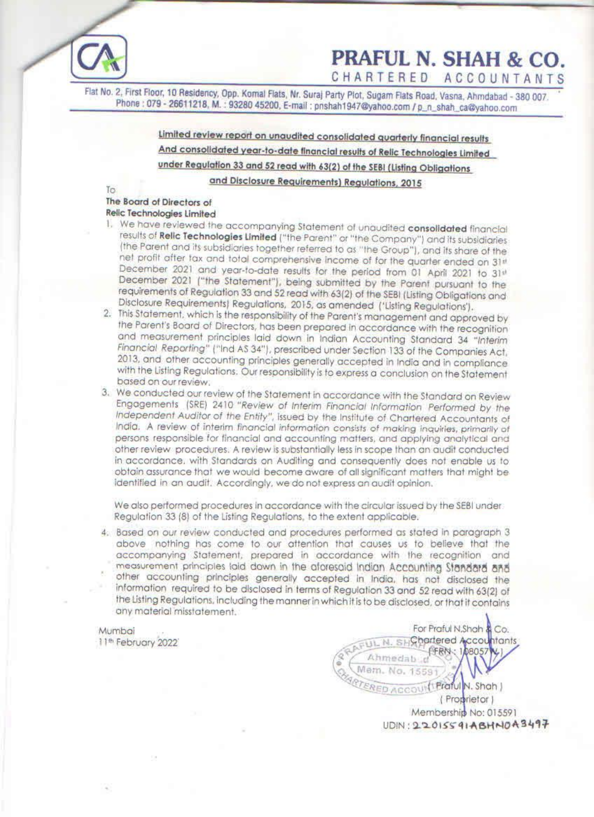Phone : 079 - 26611218, M. : 93280 45200, E-mail : pnshah1947@yahoo.com /p\_n\_shah\_ca@yahoo.com **PRAFUL N. SHAH & CO.**<br>CHARTERED ACCOUNTANTS Flat No. 2, First Floor, 10 Residency, Opp. Komal Flats, Nr. Suraj Party Plot, Sugam Flats Road, Vasna, Ahmdabad - 380 007.

> Limited review report on unaudited consolidated quarterly financial results And consolidated year-to-date financial results of Relic Technologies Limited under Regulation 33 and 52 read with 63(2) of the SEBI (Listing Obligations and Disclosure Requirements) Regulations, 2015

 $\sqrt{a}$ 

- 
- In Board of Directors of<br>
The Board of Directors of<br>
Relic Technologies Limited<br>
1. We have reviewed the accompanying Statement of unaudited consolldated financial<br>
1. We have reviewed the accompanying Statement of as "the
- 
- other review procedures. A review is substantially less in scope than an audit conducted in accordance. with Standards on Auditing and consequently does not enable us to obtain assurance that we would become aware of all significant matters that might be identified in an audit. Accordingly. we do not express an audit opinion.

Busical Central Merculairs and the coordinate and in an audit. Accordingly, we do not electromed procedures in accordance in 33 (8) of the Listing Regulations, to the non-<br>our review conducted and procedure in our review c We also performed procedures in accordance with the circular issued by the SEBI under.<br>Regulation 33 (8) of the Listing Regulations, to the extent applicable.<br>4. Based on our review conducted and procedures performed as st measurement principles laid down in the aforesaid Indian Accounting Standard and<br>other accounting principles generally accepted in India, has not disclosed the<br>information required to be disclosed in terms of Regulation 33

Mumbai For Praful N.Shah & Co.<br>11th February 2022<br>FRN: 108057W1 **SAAFUL N. SHOP** Pratul N. Shah J (Proprietor) Membership No: 015591 UDIN : 22 O1SS 41 ABHNOAB49F